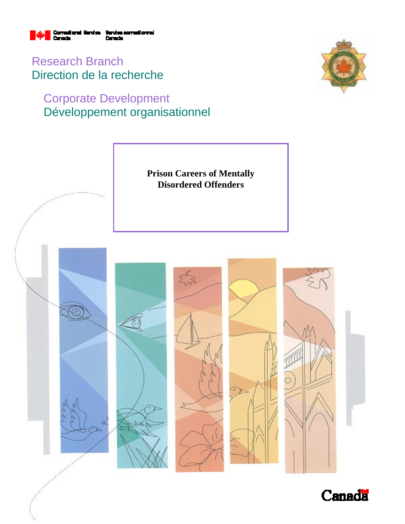

Research Branch Direction de la recherche

# Corporate Development Développement organisationnel





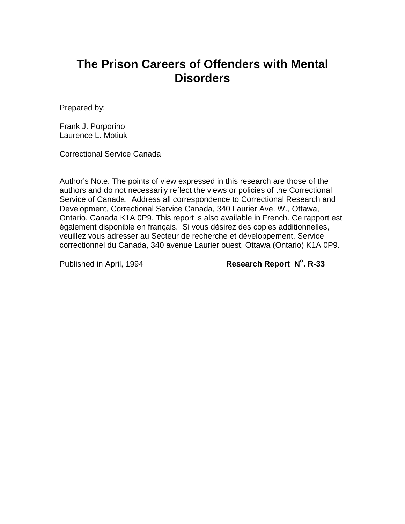# **The Prison Careers of Offenders with Mental Disorders**

Prepared by:

Frank J. Porporino Laurence L. Motiuk

Correctional Service Canada

Author's Note. The points of view expressed in this research are those of the authors and do not necessarily reflect the views or policies of the Correctional Service of Canada. Address all correspondence to Correctional Research and Development, Correctional Service Canada, 340 Laurier Ave. W., Ottawa, Ontario, Canada K1A 0P9. This report is also available in French. Ce rapport est également disponible en français. Si vous désirez des copies additionnelles, veuillez vous adresser au Secteur de recherche et développement, Service correctionnel du Canada, 340 avenue Laurier ouest, Ottawa (Ontario) K1A 0P9.

**Published in April, 1994** 

**Research Report N°. R-33**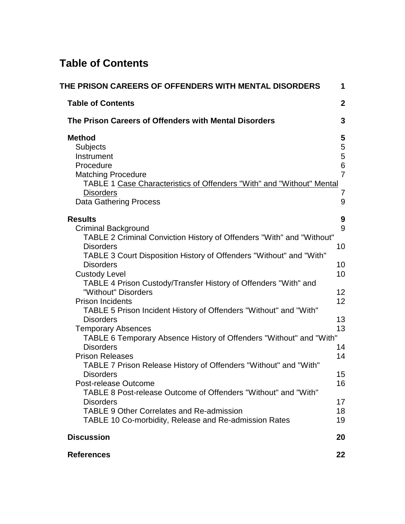# **Table of Contents**

| THE PRISON CAREERS OF OFFENDERS WITH MENTAL DISORDERS                                                                                                                                                           | 1                                                |
|-----------------------------------------------------------------------------------------------------------------------------------------------------------------------------------------------------------------|--------------------------------------------------|
| <b>Table of Contents</b>                                                                                                                                                                                        | $\mathbf{2}$                                     |
| The Prison Careers of Offenders with Mental Disorders                                                                                                                                                           | 3                                                |
| <b>Method</b><br>Subjects<br>Instrument<br>Procedure<br><b>Matching Procedure</b><br>TABLE 1 Case Characteristics of Offenders "With" and "Without" Mental<br><b>Disorders</b><br><b>Data Gathering Process</b> | 5<br>5<br>5<br>$\,6$<br>$\overline{7}$<br>7<br>9 |
| <b>Results</b>                                                                                                                                                                                                  | 9                                                |
| <b>Criminal Background</b><br>TABLE 2 Criminal Conviction History of Offenders "With" and "Without"<br><b>Disorders</b><br>TABLE 3 Court Disposition History of Offenders "Without" and "With"                  | 9<br>10                                          |
| <b>Disorders</b><br><b>Custody Level</b><br>TABLE 4 Prison Custody/Transfer History of Offenders "With" and                                                                                                     | 10<br>10                                         |
| "Without" Disorders<br><b>Prison Incidents</b><br>TABLE 5 Prison Incident History of Offenders "Without" and "With"                                                                                             | 12<br>12                                         |
| <b>Disorders</b><br><b>Temporary Absences</b>                                                                                                                                                                   | 13<br>13                                         |
| TABLE 6 Temporary Absence History of Offenders "Without" and "With"<br><b>Disorders</b><br><b>Prison Releases</b>                                                                                               | 14<br>14                                         |
| TABLE 7 Prison Release History of Offenders "Without" and "With"<br><b>Disorders</b><br>Post-release Outcome                                                                                                    | 15<br>16                                         |
| TABLE 8 Post-release Outcome of Offenders "Without" and "With"<br><b>Disorders</b><br><b>TABLE 9 Other Correlates and Re-admission</b>                                                                          | 17<br>18                                         |
| TABLE 10 Co-morbidity, Release and Re-admission Rates                                                                                                                                                           | 19                                               |
| <b>Discussion</b>                                                                                                                                                                                               | 20                                               |
| <b>References</b>                                                                                                                                                                                               | 22                                               |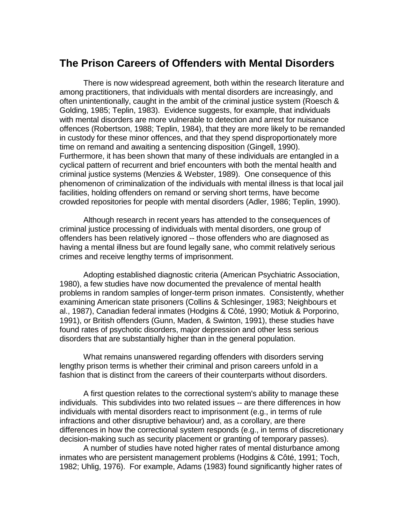## **The Prison Careers of Offenders with Mental Disorders**

There is now widespread agreement, both within the research literature and among practitioners, that individuals with mental disorders are increasingly, and often unintentionally, caught in the ambit of the criminal justice system (Roesch & Golding, 1985; Teplin, 1983). Evidence suggests, for example, that individuals with mental disorders are more vulnerable to detection and arrest for nuisance offences (Robertson, 1988; Teplin, 1984), that they are more likely to be remanded in custody for these minor offences, and that they spend disproportionately more time on remand and awaiting a sentencing disposition (Gingell, 1990). Furthermore, it has been shown that many of these individuals are entangled in a cyclical pattern of recurrent and brief encounters with both the mental health and criminal justice systems (Menzies & Webster, 1989). One consequence of this phenomenon of criminalization of the individuals with mental illness is that local jail facilities, holding offenders on remand or serving short terms, have become crowded repositories for people with mental disorders (Adler, 1986; Teplin, 1990).

Although research in recent years has attended to the consequences of criminal justice processing of individuals with mental disorders, one group of offenders has been relatively ignored -- those offenders who are diagnosed as having a mental illness but are found legally sane, who commit relatively serious crimes and receive lengthy terms of imprisonment.

Adopting established diagnostic criteria (American Psychiatric Association, 1980), a few studies have now documented the prevalence of mental health problems in random samples of longer-term prison inmates. Consistently, whether examining American state prisoners (Collins & Schlesinger, 1983; Neighbours et al., 1987), Canadian federal inmates (Hodgins & Côté, 1990; Motiuk & Porporino, 1991), or British offenders (Gunn, Maden, & Swinton, 1991), these studies have found rates of psychotic disorders, major depression and other less serious disorders that are substantially higher than in the general population.

What remains unanswered regarding offenders with disorders serving lengthy prison terms is whether their criminal and prison careers unfold in a fashion that is distinct from the careers of their counterparts without disorders.

A first question relates to the correctional system's ability to manage these individuals. This subdivides into two related issues -- are there differences in how individuals with mental disorders react to imprisonment (e.g., in terms of rule infractions and other disruptive behaviour) and, as a corollary, are there differences in how the correctional system responds (e.g., in terms of discretionary decision-making such as security placement or granting of temporary passes).

A number of studies have noted higher rates of mental disturbance among inmates who are persistent management problems (Hodgins & Côté, 1991; Toch, 1982; Uhlig, 1976). For example, Adams (1983) found significantly higher rates of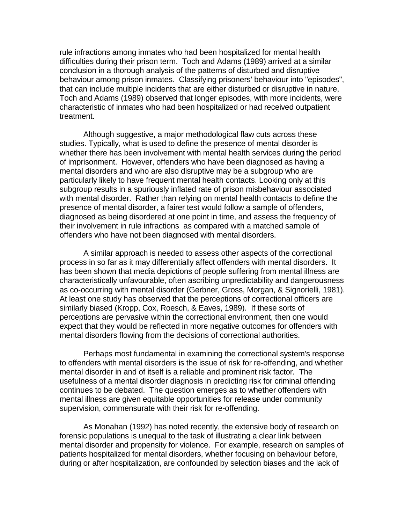rule infractions among inmates who had been hospitalized for mental health difficulties during their prison term. Toch and Adams (1989) arrived at a similar conclusion in a thorough analysis of the patterns of disturbed and disruptive behaviour among prison inmates. Classifying prisoners' behaviour into "episodes", that can include multiple incidents that are either disturbed or disruptive in nature, Toch and Adams (1989) observed that longer episodes, with more incidents, were characteristic of inmates who had been hospitalized or had received outpatient treatment.

Although suggestive, a major methodological flaw cuts across these studies. Typically, what is used to define the presence of mental disorder is whether there has been involvement with mental health services during the period of imprisonment. However, offenders who have been diagnosed as having a mental disorders and who are also disruptive may be a subgroup who are particularly likely to have frequent mental health contacts. Looking only at this subgroup results in a spuriously inflated rate of prison misbehaviour associated with mental disorder. Rather than relying on mental health contacts to define the presence of mental disorder, a fairer test would follow a sample of offenders, diagnosed as being disordered at one point in time, and assess the frequency of their involvement in rule infractions as compared with a matched sample of offenders who have not been diagnosed with mental disorders.

A similar approach is needed to assess other aspects of the correctional process in so far as it may differentially affect offenders with mental disorders. It has been shown that media depictions of people suffering from mental illness are characteristically unfavourable, often ascribing unpredictability and dangerousness as co-occurring with mental disorder (Gerbner, Gross, Morgan, & Signorielli, 1981). At least one study has observed that the perceptions of correctional officers are similarly biased (Kropp, Cox, Roesch, & Eaves, 1989). If these sorts of perceptions are pervasive within the correctional environment, then one would expect that they would be reflected in more negative outcomes for offenders with mental disorders flowing from the decisions of correctional authorities.

Perhaps most fundamental in examining the correctional system's response to offenders with mental disorders is the issue of risk for re-offending, and whether mental disorder in and of itself is a reliable and prominent risk factor. The usefulness of a mental disorder diagnosis in predicting risk for criminal offending continues to be debated. The question emerges as to whether offenders with mental illness are given equitable opportunities for release under community supervision, commensurate with their risk for re-offending.

As Monahan (1992) has noted recently, the extensive body of research on forensic populations is unequal to the task of illustrating a clear link between mental disorder and propensity for violence. For example, research on samples of patients hospitalized for mental disorders, whether focusing on behaviour before, during or after hospitalization, are confounded by selection biases and the lack of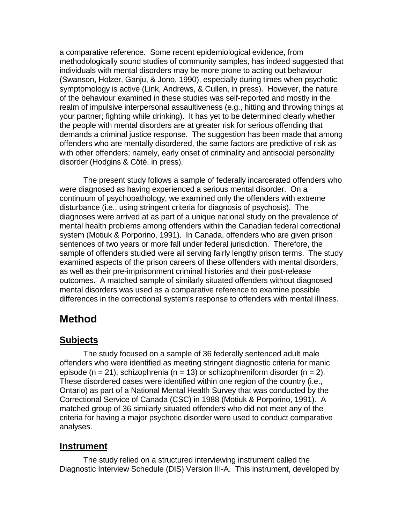a comparative reference. Some recent epidemiological evidence, from methodologically sound studies of community samples, has indeed suggested that individuals with mental disorders may be more prone to acting out behaviour (Swanson, Holzer, Ganju, & Jono, 1990), especially during times when psychotic symptomology is active (Link, Andrews, & Cullen, in press). However, the nature of the behaviour examined in these studies was self-reported and mostly in the realm of impulsive interpersonal assaultiveness (e.g., hitting and throwing things at your partner; fighting while drinking). It has yet to be determined clearly whether the people with mental disorders are at greater risk for serious offending that demands a criminal justice response. The suggestion has been made that among offenders who are mentally disordered, the same factors are predictive of risk as with other offenders; namely, early onset of criminality and antisocial personality disorder (Hodgins & Côté, in press).

The present study follows a sample of federally incarcerated offenders who were diagnosed as having experienced a serious mental disorder. On a continuum of psychopathology, we examined only the offenders with extreme disturbance (i.e., using stringent criteria for diagnosis of psychosis). The diagnoses were arrived at as part of a unique national study on the prevalence of mental health problems among offenders within the Canadian federal correctional system (Motiuk & Porporino, 1991). In Canada, offenders who are given prison sentences of two years or more fall under federal jurisdiction. Therefore, the sample of offenders studied were all serving fairly lengthy prison terms. The study examined aspects of the prison careers of these offenders with mental disorders, as well as their pre-imprisonment criminal histories and their post-release outcomes. A matched sample of similarly situated offenders without diagnosed mental disorders was used as a comparative reference to examine possible differences in the correctional system's response to offenders with mental illness.

# **Method**

### **Subjects**

The study focused on a sample of 36 federally sentenced adult male offenders who were identified as meeting stringent diagnostic criteria for manic episode (n = 21), schizophrenia (n = 13) or schizophreniform disorder (n = 2). These disordered cases were identified within one region of the country (i.e., Ontario) as part of a National Mental Health Survey that was conducted by the Correctional Service of Canada (CSC) in 1988 (Motiuk & Porporino, 1991). A matched group of 36 similarly situated offenders who did not meet any of the criteria for having a major psychotic disorder were used to conduct comparative analyses.

### **Instrument**

The study relied on a structured interviewing instrument called the Diagnostic Interview Schedule (DIS) Version III-A. This instrument, developed by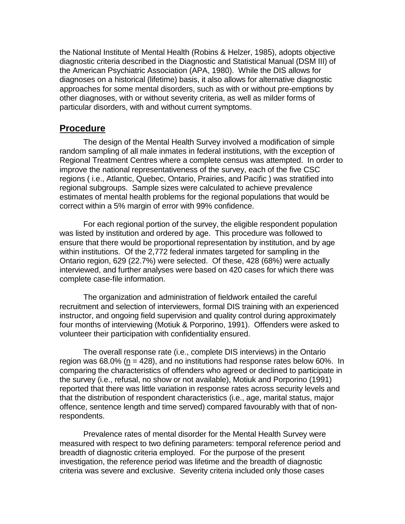the National Institute of Mental Health (Robins & Helzer, 1985), adopts objective diagnostic criteria described in the Diagnostic and Statistical Manual (DSM III) of the American Psychiatric Association (APA, 1980). While the DIS allows for diagnoses on a historical (lifetime) basis, it also allows for alternative diagnostic approaches for some mental disorders, such as with or without pre-emptions by other diagnoses, with or without severity criteria, as well as milder forms of particular disorders, with and without current symptoms.

#### **Procedure**

The design of the Mental Health Survey involved a modification of simple random sampling of all male inmates in federal institutions, with the exception of Regional Treatment Centres where a complete census was attempted. In order to improve the national representativeness of the survey, each of the five CSC regions ( i.e., Atlantic, Quebec, Ontario, Prairies, and Pacific ) was stratified into regional subgroups. Sample sizes were calculated to achieve prevalence estimates of mental health problems for the regional populations that would be correct within a 5% margin of error with 99% confidence.

For each regional portion of the survey, the eligible respondent population was listed by institution and ordered by age. This procedure was followed to ensure that there would be proportional representation by institution, and by age within institutions. Of the 2,772 federal inmates targeted for sampling in the Ontario region, 629 (22.7%) were selected. Of these, 428 (68%) were actually interviewed, and further analyses were based on 420 cases for which there was complete case-file information.

The organization and administration of fieldwork entailed the careful recruitment and selection of interviewers, formal DIS training with an experienced instructor, and ongoing field supervision and quality control during approximately four months of interviewing (Motiuk & Porporino, 1991). Offenders were asked to volunteer their participation with confidentiality ensured.

The overall response rate (i.e., complete DIS interviews) in the Ontario region was  $68.0\%$  (n = 428), and no institutions had response rates below  $60\%$ . In comparing the characteristics of offenders who agreed or declined to participate in the survey (i.e., refusal, no show or not available), Motiuk and Porporino (1991) reported that there was little variation in response rates across security levels and that the distribution of respondent characteristics (i.e., age, marital status, major offence, sentence length and time served) compared favourably with that of nonrespondents.

Prevalence rates of mental disorder for the Mental Health Survey were measured with respect to two defining parameters: temporal reference period and breadth of diagnostic criteria employed. For the purpose of the present investigation, the reference period was lifetime and the breadth of diagnostic criteria was severe and exclusive. Severity criteria included only those cases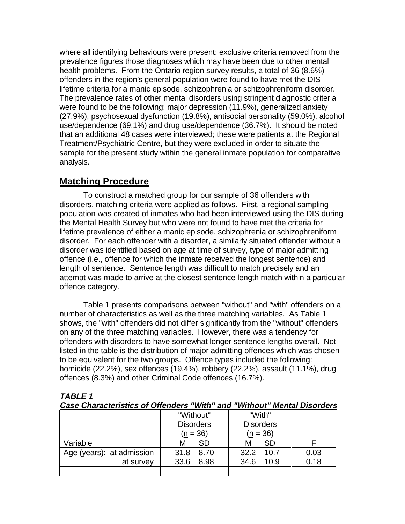where all identifying behaviours were present; exclusive criteria removed from the prevalence figures those diagnoses which may have been due to other mental health problems. From the Ontario region survey results, a total of 36 (8.6%) offenders in the region's general population were found to have met the DIS lifetime criteria for a manic episode, schizophrenia or schizophreniform disorder. The prevalence rates of other mental disorders using stringent diagnostic criteria were found to be the following: major depression (11.9%), generalized anxiety (27.9%), psychosexual dysfunction (19.8%), antisocial personality (59.0%), alcohol use/dependence (69.1%) and drug use/dependence (36.7%). It should be noted that an additional 48 cases were interviewed; these were patients at the Regional Treatment/Psychiatric Centre, but they were excluded in order to situate the sample for the present study within the general inmate population for comparative analysis.

### **Matching Procedure**

To construct a matched group for our sample of 36 offenders with disorders, matching criteria were applied as follows. First, a regional sampling population was created of inmates who had been interviewed using the DIS during the Mental Health Survey but who were not found to have met the criteria for lifetime prevalence of either a manic episode, schizophrenia or schizophreniform disorder. For each offender with a disorder, a similarly situated offender without a disorder was identified based on age at time of survey, type of major admitting offence (i.e., offence for which the inmate received the longest sentence) and length of sentence. Sentence length was difficult to match precisely and an attempt was made to arrive at the closest sentence length match within a particular offence category.

Table 1 presents comparisons between "without" and "with" offenders on a number of characteristics as well as the three matching variables. As Table 1 shows, the "with" offenders did not differ significantly from the "without" offenders on any of the three matching variables. However, there was a tendency for offenders with disorders to have somewhat longer sentence lengths overall. Not listed in the table is the distribution of major admitting offences which was chosen to be equivalent for the two groups. Offence types included the following: homicide (22.2%), sex offences (19.4%), robbery (22.2%), assault (11.1%), drug offences (8.3%) and other Criminal Code offences (16.7%).

| Case Characteristics of Offenders With |                  | and |                  |      | <i>VIIIIout Mental Disorders</i> |
|----------------------------------------|------------------|-----|------------------|------|----------------------------------|
|                                        | "Without"        |     | "With"           |      |                                  |
|                                        | <b>Disorders</b> |     | <b>Disorders</b> |      |                                  |
|                                        | $(n = 36)$       |     | $(n = 36)$       |      |                                  |
| Variable                               | SD<br>м          |     | М                | SD   |                                  |
| Age (years): at admission              | 31.8<br>8.70     |     | 32.2             | 10.7 | 0.03                             |
| at survey                              | 33.6<br>8.98     |     | 34.6             | 10.9 | 0.18                             |
|                                        |                  |     |                  |      |                                  |

#### **TABLE 1 Case Characteristics of Offenders "With" and "Without" Mental Disorders**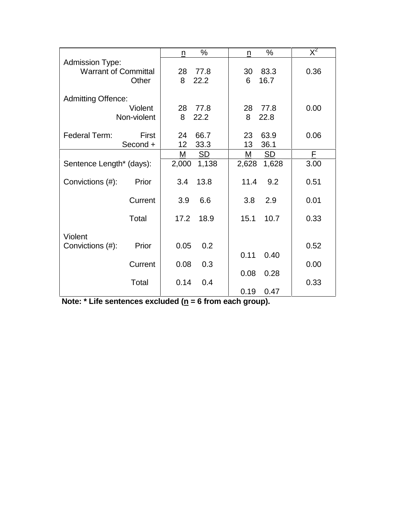|                             |                        | n       | $\%$         | n       | $\%$         | $\overline{\mathsf{X}}^2$ |
|-----------------------------|------------------------|---------|--------------|---------|--------------|---------------------------|
| <b>Admission Type:</b>      |                        |         |              |         |              |                           |
| <b>Warrant of Committal</b> |                        | 28      | 77.8         | 30      | 83.3         | 0.36                      |
|                             | Other                  | 8       | 22.2         | 6       | 16.7         |                           |
|                             |                        |         |              |         |              |                           |
| <b>Admitting Offence:</b>   |                        |         |              |         |              |                           |
|                             | Violent<br>Non-violent | 28<br>8 | 77.8<br>22.2 | 28<br>8 | 77.8<br>22.8 | 0.00                      |
|                             |                        |         |              |         |              |                           |
| Federal Term:               | First                  | 24      | 66.7         | 23      | 63.9         | 0.06                      |
|                             | Second +               | 12      | 33.3         | 13      | 36.1         |                           |
|                             |                        | М       | <b>SD</b>    | M       | <b>SD</b>    | F                         |
| Sentence Length* (days):    |                        | 2,000   | 1,138        | 2,628   | 1,628        | 3.00                      |
|                             |                        |         |              |         |              |                           |
| Convictions (#):            | Prior                  | 3.4     | 13.8         | 11.4    | 9.2          | 0.51                      |
|                             | Current                | 3.9     | 6.6          | 3.8     | 2.9          | 0.01                      |
|                             |                        |         |              |         |              |                           |
|                             | Total                  | 17.2    | 18.9         | 15.1    | 10.7         | 0.33                      |
|                             |                        |         |              |         |              |                           |
| Violent                     |                        |         |              |         |              |                           |
| Convictions (#):            | Prior                  | 0.05    | 0.2          |         |              | 0.52                      |
|                             |                        |         |              | 0.11    | 0.40         |                           |
|                             | Current                | 0.08    | 0.3          |         |              | 0.00                      |
|                             |                        |         |              | 0.08    | 0.28         |                           |
|                             | Total                  | 0.14    | 0.4          |         |              | 0.33                      |
|                             |                        |         |              | 0.19    | 0.47         |                           |

| Note: * Life sentences excluded ( $\underline{n}$ = 6 from each group). |  |  |
|-------------------------------------------------------------------------|--|--|
|                                                                         |  |  |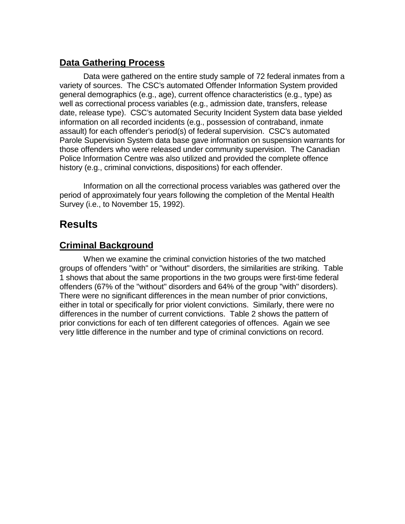## **Data Gathering Process**

Data were gathered on the entire study sample of 72 federal inmates from a variety of sources. The CSC's automated Offender Information System provided general demographics (e.g., age), current offence characteristics (e.g., type) as well as correctional process variables (e.g., admission date, transfers, release date, release type). CSC's automated Security Incident System data base yielded information on all recorded incidents (e.g., possession of contraband, inmate assault) for each offender's period(s) of federal supervision. CSC's automated Parole Supervision System data base gave information on suspension warrants for those offenders who were released under community supervision. The Canadian Police Information Centre was also utilized and provided the complete offence history (e.g., criminal convictions, dispositions) for each offender.

Information on all the correctional process variables was gathered over the period of approximately four years following the completion of the Mental Health Survey (i.e., to November 15, 1992).

# **Results**

### **Criminal Background**

When we examine the criminal conviction histories of the two matched groups of offenders "with" or "without" disorders, the similarities are striking. Table 1 shows that about the same proportions in the two groups were first-time federal offenders (67% of the "without" disorders and 64% of the group "with" disorders). There were no significant differences in the mean number of prior convictions, either in total or specifically for prior violent convictions. Similarly, there were no differences in the number of current convictions. Table 2 shows the pattern of prior convictions for each of ten different categories of offences. Again we see very little difference in the number and type of criminal convictions on record.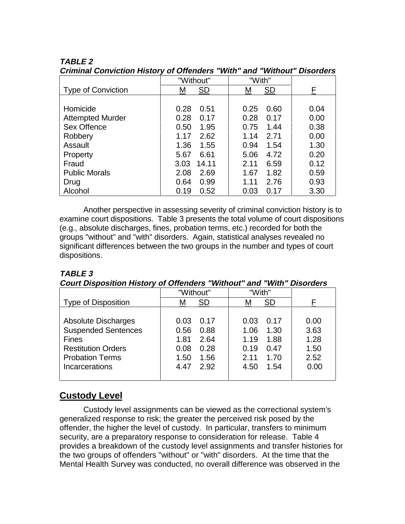|                           | "Without"      | "With"         |      |
|---------------------------|----------------|----------------|------|
| <b>Type of Conviction</b> | <b>SD</b><br>Μ | <b>SD</b><br>М | F    |
|                           |                |                |      |
| Homicide                  | 0.28<br>0.51   | 0.25<br>0.60   | 0.04 |
| <b>Attempted Murder</b>   | 0.28<br>0.17   | 0.28<br>0.17   | 0.00 |
| Sex Offence               | 1.95<br>0.50   | 0.75<br>1.44   | 0.38 |
| Robbery                   | 2.62<br>1.17   | 2.71<br>1.14   | 0.00 |
| Assault                   | 1.36<br>1.55   | 0.94<br>1.54   | 1.30 |
| Property                  | 6.61<br>5.67   | 4.72<br>5.06   | 0.20 |
| Fraud                     | 14.11<br>3.03  | 2.11<br>6.59   | 0.12 |
| <b>Public Morals</b>      | 2.69<br>2.08   | 1.67<br>1.82   | 0.59 |
| Drug                      | 0.99<br>0.64   | 2.76<br>1.11   | 0.93 |
| Alcohol                   | 0.19<br>0.52   | 0.03<br>0.17   | 3.30 |

### **TABLE 2**

**Criminal Conviction History of Offenders "With" and "Without" Disorders**

Another perspective in assessing severity of criminal conviction history is to examine court dispositions. Table 3 presents the total volume of court dispositions (e.g., absolute discharges, fines, probation terms, etc.) recorded for both the groups "without" and "with" disorders. Again, statistical analyses revealed no significant differences between the two groups in the number and types of court dispositions.

#### **TABLE 3**

#### **Court Disposition History of Offenders "Without" and "With" Disorders**

|                            | "Without"    | "With"         |      |
|----------------------------|--------------|----------------|------|
| Type of Disposition        | SD<br>M      | <b>SD</b><br>M |      |
|                            |              |                |      |
| <b>Absolute Discharges</b> | 0.17<br>0.03 | 0.03<br>0.17   | 0.00 |
| <b>Suspended Sentences</b> | 0.88<br>0.56 | 1.06<br>1.30   | 3.63 |
| <b>Fines</b>               | 1.81<br>2.64 | 1.88<br>1.19   | 1.28 |
| <b>Restitution Orders</b>  | 0.28<br>0.08 | 0.47<br>0.19   | 1.50 |
| <b>Probation Terms</b>     | 1.56<br>1.50 | 2.11<br>1.70   | 2.52 |
| Incarcerations             | 2.92<br>4.47 | 1.54<br>4.50   | 0.00 |
|                            |              |                |      |

## **Custody Level**

Custody level assignments can be viewed as the correctional system's generalized response to risk; the greater the perceived risk posed by the offender, the higher the level of custody. In particular, transfers to minimum security, are a preparatory response to consideration for release. Table 4 provides a breakdown of the custody level assignments and transfer histories for the two groups of offenders "without" or "with" disorders. At the time that the Mental Health Survey was conducted, no overall difference was observed in the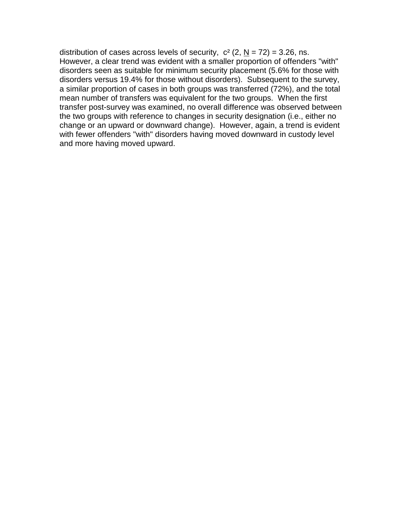distribution of cases across levels of security,  $c^2$  (2, N = 72) = 3.26, ns. However, a clear trend was evident with a smaller proportion of offenders "with" disorders seen as suitable for minimum security placement (5.6% for those with disorders versus 19.4% for those without disorders). Subsequent to the survey, a similar proportion of cases in both groups was transferred (72%), and the total mean number of transfers was equivalent for the two groups. When the first transfer post-survey was examined, no overall difference was observed between the two groups with reference to changes in security designation (i.e., either no change or an upward or downward change). However, again, a trend is evident with fewer offenders "with" disorders having moved downward in custody level and more having moved upward.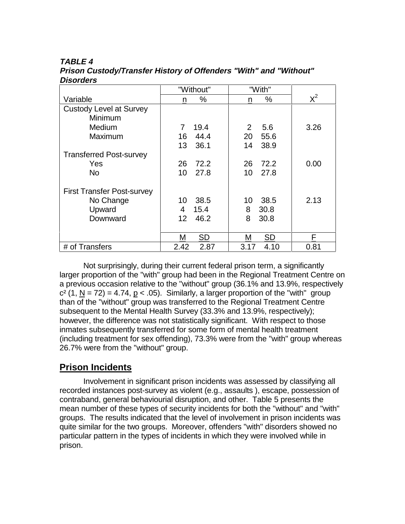### **TABLE 4**

|                                   | "Without"              | "With"                |       |
|-----------------------------------|------------------------|-----------------------|-------|
| Variable                          | $\%$<br>n              | $\%$<br>n             | $X^2$ |
| <b>Custody Level at Survey</b>    |                        |                       |       |
| Minimum                           |                        |                       |       |
| Medium                            | 19.4<br>$\overline{7}$ | $\overline{2}$<br>5.6 | 3.26  |
| Maximum                           | 44.4<br>16             | 55.6<br>20            |       |
|                                   | 13<br>36.1             | 38.9<br>14            |       |
| <b>Transferred Post-survey</b>    |                        |                       |       |
| Yes                               | 72.2<br>26             | 72.2<br>26            | 0.00  |
| <b>No</b>                         | 10<br>27.8             | 10<br>27.8            |       |
| <b>First Transfer Post-survey</b> |                        |                       |       |
| No Change                         | 38.5<br>10             | 38.5<br>10            | 2.13  |
| Upward                            | 4<br>15.4              | 8<br>30.8             |       |
| Downward                          | 46.2<br>12             | 8<br>30.8             |       |
|                                   |                        |                       |       |
|                                   | <b>SD</b><br>М         | <b>SD</b><br>M        | F     |
| # of Transfers                    | 2.42<br>2.87           | 3.17<br>4.10          | 0.81  |

**Prison Custody/Transfer History of Offenders "With" and "Without" Disorders**

Not surprisingly, during their current federal prison term, a significantly larger proportion of the "with" group had been in the Regional Treatment Centre on a previous occasion relative to the "without" group (36.1% and 13.9%, respectively  $c<sup>2</sup>$  (1, N = 72) = 4.74, p < .05). Similarly, a larger proportion of the "with" group than of the "without" group was transferred to the Regional Treatment Centre subsequent to the Mental Health Survey (33.3% and 13.9%, respectively); however, the difference was not statistically significant. With respect to those inmates subsequently transferred for some form of mental health treatment (including treatment for sex offending), 73.3% were from the "with" group whereas 26.7% were from the "without" group.

## **Prison Incidents**

Involvement in significant prison incidents was assessed by classifying all recorded instances post-survey as violent (e.g., assaults ), escape, possession of contraband, general behaviourial disruption, and other. Table 5 presents the mean number of these types of security incidents for both the "without" and "with" groups. The results indicated that the level of involvement in prison incidents was quite similar for the two groups. Moreover, offenders "with" disorders showed no particular pattern in the types of incidents in which they were involved while in prison.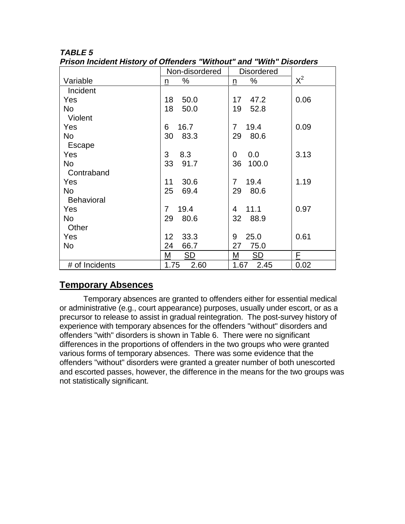| $\sim$            |                | ana<br>,,,,,,,         | PIJVI UUI J |
|-------------------|----------------|------------------------|-------------|
|                   | Non-disordered | <b>Disordered</b>      |             |
| Variable          | ℅<br>n         | $\%$<br>n              | $X^2$       |
| Incident          |                |                        |             |
| Yes               | 18<br>50.0     | 47.2<br>$17 \,$        | 0.06        |
| <b>No</b>         | 18<br>50.0     | 19<br>52.8             |             |
| Violent           |                |                        |             |
| Yes               | 16.7<br>6      | $\overline{7}$<br>19.4 | 0.09        |
| No                | 30<br>83.3     | 29<br>80.6             |             |
| Escape            |                |                        |             |
| Yes               | 3<br>8.3       | 0.0<br>0               | 3.13        |
| No                | 91.7<br>33     | 36<br>100.0            |             |
| Contraband        |                |                        |             |
| Yes               | 30.6<br>11     | 19.4<br>$\overline{7}$ | 1.19        |
| <b>No</b>         | 25<br>69.4     | 29<br>80.6             |             |
| <b>Behavioral</b> |                |                        |             |
| Yes               | 19.4<br>7      | 11.1<br>4              | 0.97        |
| No                | 29<br>80.6     | 32<br>88.9             |             |
| Other             |                |                        |             |
| Yes               | 33.3<br>12     | 25.0<br>9              | 0.61        |
| No                | 24<br>66.7     | 27<br>75.0             |             |
|                   | SD<br>M        | M<br>SD                | F.          |
| # of Incidents    | 1.75<br>2.60   | 1.67<br>2.45           | 0.02        |

#### **TABLE 5 Prison Incident History of Offenders "Without" and "With" Disorders**

## **Temporary Absences**

Temporary absences are granted to offenders either for essential medical or administrative (e.g., court appearance) purposes, usually under escort, or as a precursor to release to assist in gradual reintegration. The post-survey history of experience with temporary absences for the offenders "without" disorders and offenders "with" disorders is shown in Table 6. There were no significant differences in the proportions of offenders in the two groups who were granted various forms of temporary absences. There was some evidence that the offenders "without" disorders were granted a greater number of both unescorted and escorted passes, however, the difference in the means for the two groups was not statistically significant.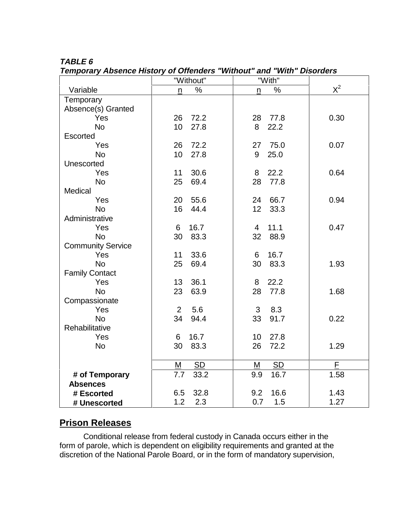### **TABLE 6**

**Temporary Absence History of Offenders "Without" and "With" Disorders**

|                          | "Without"               | "With"         |       |
|--------------------------|-------------------------|----------------|-------|
| Variable                 | $\%$<br>n               | $\%$<br>n      | $X^2$ |
| Temporary                |                         |                |       |
| Absence(s) Granted       |                         |                |       |
| Yes                      | 72.2<br>26              | 28<br>77.8     | 0.30  |
| <b>No</b>                | 27.8<br>10              | 22.2<br>8      |       |
| <b>Escorted</b>          |                         |                |       |
| Yes                      | 72.2<br>26              | 75.0<br>27     | 0.07  |
| <b>No</b>                | 10 <sup>1</sup><br>27.8 | 25.0<br>9      |       |
| Unescorted               |                         |                |       |
| Yes                      | 11<br>30.6              | 8<br>22.2      | 0.64  |
| <b>No</b>                | 69.4<br>25              | 28<br>77.8     |       |
| Medical                  |                         |                |       |
| Yes                      | 55.6<br>20              | 66.7<br>24     | 0.94  |
| <b>No</b>                | 16<br>44.4              | 12<br>33.3     |       |
| Administrative           |                         |                |       |
| Yes                      | 16.7<br>6               | 11.1<br>4      | 0.47  |
| <b>No</b>                | 83.3<br>30              | 32<br>88.9     |       |
| <b>Community Service</b> |                         |                |       |
| Yes                      | 33.6<br>11              | 16.7<br>6      |       |
| <b>No</b>                | 25<br>69.4              | 30<br>83.3     | 1.93  |
| <b>Family Contact</b>    |                         |                |       |
| Yes                      | 36.1<br>13              | 22.2<br>8      |       |
| <b>No</b>                | 23<br>63.9              | 28<br>77.8     | 1.68  |
| Compassionate            |                         |                |       |
| Yes                      | $\overline{2}$<br>5.6   | 3<br>8.3       |       |
| <b>No</b>                | 94.4<br>34              | 33<br>91.7     | 0.22  |
| Rehabilitative           |                         |                |       |
| Yes                      | 16.7<br>6               | 10<br>27.8     |       |
| <b>No</b>                | 83.3<br>30              | 72.2<br>26     | 1.29  |
|                          |                         |                |       |
|                          | <b>SD</b><br>M          | <b>SD</b><br>M | F     |
| # of Temporary           | 7.7<br>33.2             | 16.7<br>9.9    | 1.58  |
| <b>Absences</b>          |                         |                |       |
| # Escorted               | 32.8<br>6.5             | 16.6<br>9.2    | 1.43  |
| # Unescorted             | 1.2<br>2.3              | 0.7<br>1.5     | 1.27  |

## **Prison Releases**

Conditional release from federal custody in Canada occurs either in the form of parole, which is dependent on eligibility requirements and granted at the discretion of the National Parole Board, or in the form of mandatory supervision,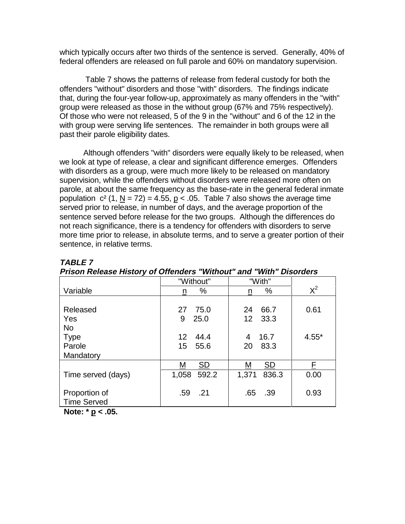which typically occurs after two thirds of the sentence is served. Generally, 40% of federal offenders are released on full parole and 60% on mandatory supervision.

 Table 7 shows the patterns of release from federal custody for both the offenders "without" disorders and those "with" disorders. The findings indicate that, during the four-year follow-up, approximately as many offenders in the "with" group were released as those in the without group (67% and 75% respectively). Of those who were not released, 5 of the 9 in the "without" and 6 of the 12 in the with group were serving life sentences. The remainder in both groups were all past their parole eligibility dates.

Although offenders "with" disorders were equally likely to be released, when we look at type of release, a clear and significant difference emerges. Offenders with disorders as a group, were much more likely to be released on mandatory supervision, while the offenders without disorders were released more often on parole, at about the same frequency as the base-rate in the general federal inmate population  $c^2$  (1, N = 72) = 4.55, p < .05. Table 7 also shows the average time served prior to release, in number of days, and the average proportion of the sentence served before release for the two groups. Although the differences do not reach significance, there is a tendency for offenders with disorders to serve more time prior to release, in absolute terms, and to serve a greater portion of their sentence, in relative terms.

|                         | "Without"                 | "With"         |         |
|-------------------------|---------------------------|----------------|---------|
| Variable                | %<br>$\underline{n}$      | %<br>n         | $X^2$   |
|                         |                           |                |         |
| Released                | 75.0<br>27                | 24<br>66.7     | 0.61    |
| Yes                     | 9<br>25.0                 | 12 33.3        |         |
| <b>No</b>               |                           |                |         |
| <b>Type</b>             | $12 \overline{ }$<br>44.4 | 16.7<br>4      | $4.55*$ |
| Parole                  | 55.6<br>15                | 20<br>83.3     |         |
| Mandatory               |                           |                |         |
|                         | <b>SD</b><br>Μ            | SD<br>M        | E       |
| Time served (days)      | 1,058<br>592.2            | 836.3<br>1,371 | 0.00    |
|                         |                           |                |         |
| Proportion of           | .59<br>.21                | .65<br>.39     | 0.93    |
| <b>Time Served</b>      |                           |                |         |
| <b>AI</b> 4 <b>4 AP</b> |                           |                |         |

#### **TABLE 7**

| Prison Release History of Offenders "Without" and "With" Disorders |  |  |  |  |  |  |  |  |
|--------------------------------------------------------------------|--|--|--|--|--|--|--|--|
|--------------------------------------------------------------------|--|--|--|--|--|--|--|--|

 **Note: \* p < .05.**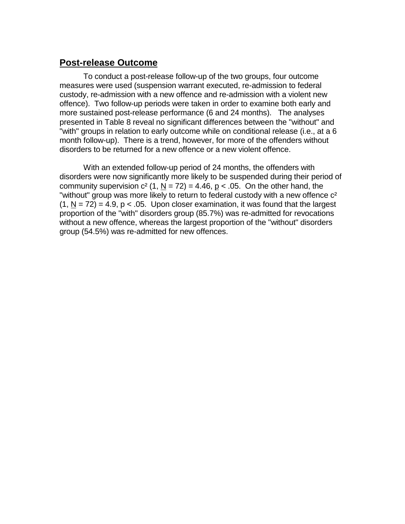### **Post-release Outcome**

To conduct a post-release follow-up of the two groups, four outcome measures were used (suspension warrant executed, re-admission to federal custody, re-admission with a new offence and re-admission with a violent new offence). Two follow-up periods were taken in order to examine both early and more sustained post-release performance (6 and 24 months). The analyses presented in Table 8 reveal no significant differences between the "without" and "with" groups in relation to early outcome while on conditional release (i.e., at a 6 month follow-up). There is a trend, however, for more of the offenders without disorders to be returned for a new offence or a new violent offence.

With an extended follow-up period of 24 months, the offenders with disorders were now significantly more likely to be suspended during their period of community supervision  $c^2$  (1, N = 72) = 4.46, p < .05. On the other hand, the "without" group was more likely to return to federal custody with a new offence  $c^2$  $(1, N = 72) = 4.9$ ,  $p < .05$ . Upon closer examination, it was found that the largest proportion of the "with" disorders group (85.7%) was re-admitted for revocations without a new offence, whereas the largest proportion of the "without" disorders group (54.5%) was re-admitted for new offences.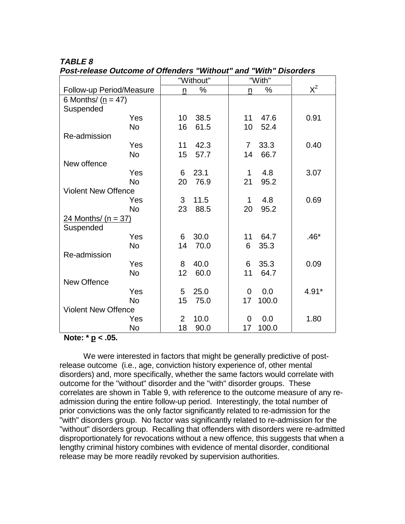|                            | "Without"              | "With"                 |         |
|----------------------------|------------------------|------------------------|---------|
| Follow-up Period/Measure   | $\%$<br>n              | %<br>n                 | $X^2$   |
| 6 Months/ $(p = 47)$       |                        |                        |         |
| Suspended                  |                        |                        |         |
| Yes                        | 38.5<br>10             | 11<br>47.6             | 0.91    |
| <b>No</b>                  | 61.5<br>16             | 10<br>52.4             |         |
| Re-admission               |                        |                        |         |
| Yes                        | 11<br>42.3             | 33.3<br>$\overline{7}$ | 0.40    |
| <b>No</b>                  | 15<br>57.7             | 14<br>66.7             |         |
| New offence                |                        |                        |         |
| Yes                        | 23.1<br>6              | 4.8<br>1               | 3.07    |
| <b>No</b>                  | 20<br>76.9             | 21<br>95.2             |         |
| <b>Violent New Offence</b> |                        |                        |         |
| Yes                        | 3<br>11.5              | 4.8<br>1               | 0.69    |
| <b>No</b>                  | 23<br>88.5             | 95.2<br>20             |         |
| 24 Months/ $(n = 37)$      |                        |                        |         |
| Suspended                  |                        |                        |         |
| Yes                        | 6<br>30.0              | 64.7<br>11             | $.46*$  |
| <b>No</b>                  | 14<br>70.0             | 6<br>35.3              |         |
| Re-admission               |                        |                        |         |
| Yes                        | 8<br>40.0              | 6<br>35.3              | 0.09    |
| <b>No</b>                  | 12<br>60.0             | 64.7<br>11             |         |
| New Offence                |                        |                        |         |
| Yes                        | 5<br>25.0              | 0.0<br>$\overline{0}$  | $4.91*$ |
| <b>No</b>                  | 15<br>75.0             | 100.0<br>17            |         |
| <b>Violent New Offence</b> |                        |                        |         |
| Yes                        | $\overline{2}$<br>10.0 | $\overline{0}$<br>0.0  | 1.80    |
| <b>No</b>                  | 18<br>90.0             | 100.0<br>17            |         |

### **TABLE 8**

**Post-release Outcome of Offenders "Without" and "With" Disorders**

 **Note: \* p < .05.**

We were interested in factors that might be generally predictive of postrelease outcome (i.e., age, conviction history experience of, other mental disorders) and, more specifically, whether the same factors would correlate with outcome for the "without" disorder and the "with" disorder groups. These correlates are shown in Table 9, with reference to the outcome measure of any readmission during the entire follow-up period. Interestingly, the total number of prior convictions was the only factor significantly related to re-admission for the "with" disorders group. No factor was significantly related to re-admission for the "without" disorders group. Recalling that offenders with disorders were re-admitted disproportionately for revocations without a new offence, this suggests that when a lengthy criminal history combines with evidence of mental disorder, conditional release may be more readily revoked by supervision authorities.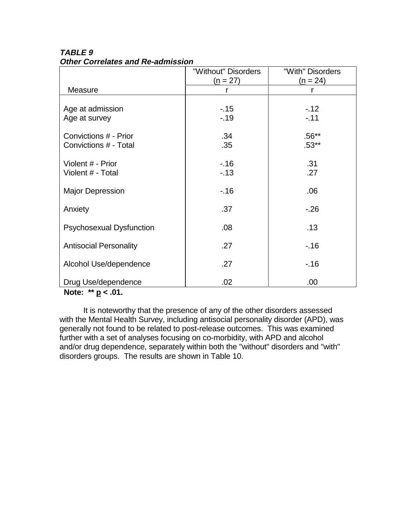|                                 | "Without" Disorders | "With" Disorders |  |
|---------------------------------|---------------------|------------------|--|
|                                 | $(n = 27)$          | $(n = 24)$       |  |
| Measure                         | r                   | r                |  |
|                                 |                     |                  |  |
| Age at admission                | $-15$               | $-12$            |  |
| Age at survey                   | $-.19$              | $-.11$           |  |
|                                 |                     |                  |  |
| Convictions # - Prior           | .34                 | $.56**$          |  |
| Convictions # - Total           | .35                 | $.53**$          |  |
|                                 |                     |                  |  |
| Violent # - Prior               | $-16$               | .31              |  |
| Violent # - Total               | $-13$               | .27              |  |
|                                 |                     |                  |  |
| <b>Major Depression</b>         | $-.16$              | .06              |  |
|                                 |                     |                  |  |
| Anxiety                         | .37                 | $-26$            |  |
|                                 |                     |                  |  |
| <b>Psychosexual Dysfunction</b> | .08 <sub>0</sub>    | .13              |  |
| <b>Antisocial Personality</b>   | .27                 | $-16$            |  |
|                                 |                     |                  |  |
| Alcohol Use/dependence          | .27                 | $-16$            |  |
|                                 |                     |                  |  |
| Drug Use/dependence             | .02                 | .00              |  |

**TABLE 9 Other Correlates and Re-admission**

**Note: \*\* p < .01.**

It is noteworthy that the presence of any of the other disorders assessed with the Mental Health Survey, including antisocial personality disorder (APD), was generally not found to be related to post-release outcomes. This was examined further with a set of analyses focusing on co-morbidity, with APD and alcohol and/or drug dependence, separately within both the "without" disorders and "with" disorders groups. The results are shown in Table 10.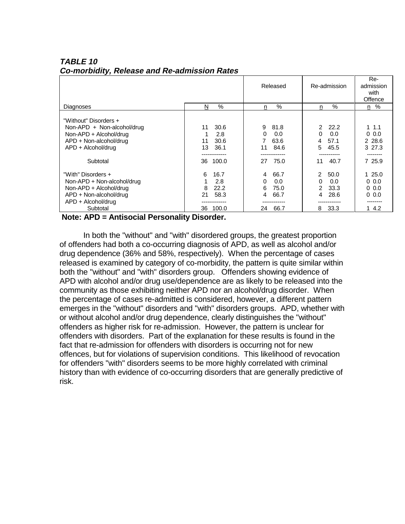|                                                                                                                                           |                                                              | Released                                                       | Re-admission                                                                      | Re-<br>admission<br>with<br>Offence            |
|-------------------------------------------------------------------------------------------------------------------------------------------|--------------------------------------------------------------|----------------------------------------------------------------|-----------------------------------------------------------------------------------|------------------------------------------------|
| Diagnoses                                                                                                                                 | $\%$<br>N                                                    | $\%$<br>n.                                                     | $\%$<br>n.                                                                        | n %                                            |
| "Without" Disorders +<br>Non-APD + Non-alcohol/drug<br>Non-APD + Alcohol/drug<br>APD + Non-alcohol/drug<br>APD + Alcohol/drug<br>Subtotal | 30.6<br>11<br>2.8<br>30.6<br>11<br>36.1<br>13<br>100.0<br>36 | 9<br>81.8<br>0<br>0.0<br>7<br>63.6<br>84.6<br>11<br>75.0<br>27 | 22.2<br>$\mathcal{P}$<br>0.0<br>$\Omega$<br>57.1<br>4<br>45.5<br>5.<br>40.7<br>11 | $1 \t1.1$<br>0.0<br>2 28.6<br>3 27.3<br>7 25.9 |
| "With" Disorders +                                                                                                                        | 6<br>16.7                                                    | 66.7<br>$\overline{4}$                                         | $\mathcal{P}$<br>50.0                                                             | 125.0                                          |
| Non-APD + Non-alcohol/drug                                                                                                                | 2.8<br>1                                                     | 0.0<br>$\Omega$                                                | 0.0<br>0                                                                          | 0.0                                            |
| Non-APD + Alcohol/drug                                                                                                                    | 22.2<br>8                                                    | 75.0<br>6                                                      | 2<br>33.3                                                                         | 0.0                                            |
| APD + Non-alcohol/drug                                                                                                                    | 21<br>58.3                                                   | 66.7<br>4                                                      | 28.6<br>4                                                                         | 0.0                                            |
| APD + Alcohol/drug                                                                                                                        |                                                              |                                                                |                                                                                   |                                                |
| Subtotal                                                                                                                                  | 100.0<br>36                                                  | 66.7<br>24                                                     | 33.3<br>8                                                                         | 1 4.2                                          |

#### **TABLE 10 Co-morbidity, Release and Re-admission Rates**

 **Note: APD = Antisocial Personality Disorder.**

In both the "without" and "with" disordered groups, the greatest proportion of offenders had both a co-occurring diagnosis of APD, as well as alcohol and/or drug dependence (36% and 58%, respectively). When the percentage of cases released is examined by category of co-morbidity, the pattern is quite similar within both the "without" and "with" disorders group. Offenders showing evidence of APD with alcohol and/or drug use/dependence are as likely to be released into the community as those exhibiting neither APD nor an alcohol/drug disorder. When the percentage of cases re-admitted is considered, however, a different pattern emerges in the "without" disorders and "with" disorders groups. APD, whether with or without alcohol and/or drug dependence, clearly distinguishes the "without" offenders as higher risk for re-admission. However, the pattern is unclear for offenders with disorders. Part of the explanation for these results is found in the fact that re-admission for offenders with disorders is occurring not for new offences, but for violations of supervision conditions. This likelihood of revocation for offenders "with" disorders seems to be more highly correlated with criminal history than with evidence of co-occurring disorders that are generally predictive of risk.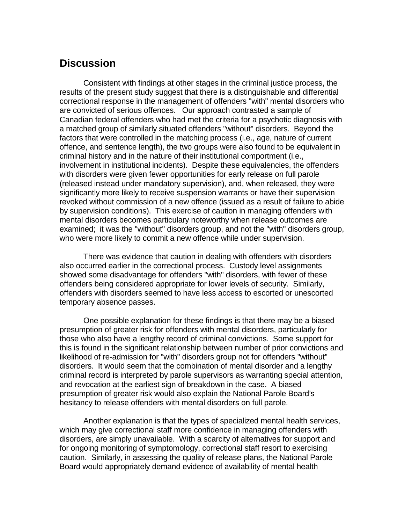# **Discussion**

Consistent with findings at other stages in the criminal justice process, the results of the present study suggest that there is a distinguishable and differential correctional response in the management of offenders "with" mental disorders who are convicted of serious offences. Our approach contrasted a sample of Canadian federal offenders who had met the criteria for a psychotic diagnosis with a matched group of similarly situated offenders "without" disorders. Beyond the factors that were controlled in the matching process (i.e., age, nature of current offence, and sentence length), the two groups were also found to be equivalent in criminal history and in the nature of their institutional comportment (i.e., involvement in institutional incidents). Despite these equivalencies, the offenders with disorders were given fewer opportunities for early release on full parole (released instead under mandatory supervision), and, when released, they were significantly more likely to receive suspension warrants or have their supervision revoked without commission of a new offence (issued as a result of failure to abide by supervision conditions). This exercise of caution in managing offenders with mental disorders becomes particulary noteworthy when release outcomes are examined; it was the "without" disorders group, and not the "with" disorders group, who were more likely to commit a new offence while under supervision.

There was evidence that caution in dealing with offenders with disorders also occurred earlier in the correctional process. Custody level assignments showed some disadvantage for offenders "with" disorders, with fewer of these offenders being considered appropriate for lower levels of security. Similarly, offenders with disorders seemed to have less access to escorted or unescorted temporary absence passes.

One possible explanation for these findings is that there may be a biased presumption of greater risk for offenders with mental disorders, particularly for those who also have a lengthy record of criminal convictions. Some support for this is found in the significant relationship between number of prior convictions and likelihood of re-admission for "with" disorders group not for offenders "without" disorders. It would seem that the combination of mental disorder and a lengthy criminal record is interpreted by parole supervisors as warranting special attention, and revocation at the earliest sign of breakdown in the case. A biased presumption of greater risk would also explain the National Parole Board's hesitancy to release offenders with mental disorders on full parole.

Another explanation is that the types of specialized mental health services, which may give correctional staff more confidence in managing offenders with disorders, are simply unavailable. With a scarcity of alternatives for support and for ongoing monitoring of symptomology, correctional staff resort to exercising caution. Similarly, in assessing the quality of release plans, the National Parole Board would appropriately demand evidence of availability of mental health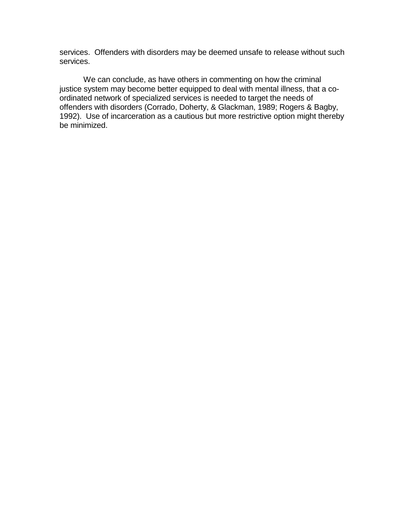services. Offenders with disorders may be deemed unsafe to release without such services.

We can conclude, as have others in commenting on how the criminal justice system may become better equipped to deal with mental illness, that a coordinated network of specialized services is needed to target the needs of offenders with disorders (Corrado, Doherty, & Glackman, 1989; Rogers & Bagby, 1992). Use of incarceration as a cautious but more restrictive option might thereby be minimized.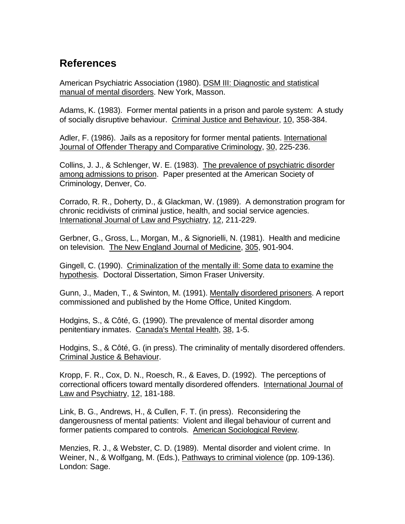# **References**

American Psychiatric Association (1980). DSM III: Diagnostic and statistical manual of mental disorders. New York, Masson.

Adams, K. (1983). Former mental patients in a prison and parole system: A study of socially disruptive behaviour. Criminal Justice and Behaviour, 10, 358-384.

Adler, F. (1986). Jails as a repository for former mental patients. International Journal of Offender Therapy and Comparative Criminology, 30, 225-236.

Collins, J. J., & Schlenger, W. E. (1983). The prevalence of psychiatric disorder among admissions to prison. Paper presented at the American Society of Criminology, Denver, Co.

Corrado, R. R., Doherty, D., & Glackman, W. (1989). A demonstration program for chronic recidivists of criminal justice, health, and social service agencies. International Journal of Law and Psychiatry, 12, 211-229.

Gerbner, G., Gross, L., Morgan, M., & Signorielli, N. (1981). Health and medicine on television. The New England Journal of Medicine, 305, 901-904.

Gingell, C. (1990). Criminalization of the mentally ill: Some data to examine the hypothesis. Doctoral Dissertation, Simon Fraser University.

Gunn, J., Maden, T., & Swinton, M. (1991). Mentally disordered prisoners. A report commissioned and published by the Home Office, United Kingdom.

Hodgins, S., & Côté, G. (1990). The prevalence of mental disorder among penitentiary inmates. Canada's Mental Health, 38, 1-5.

Hodgins, S., & Côté, G. (in press). The criminality of mentally disordered offenders. Criminal Justice & Behaviour.

Kropp, F. R., Cox, D. N., Roesch, R., & Eaves, D. (1992). The perceptions of correctional officers toward mentally disordered offenders. International Journal of Law and Psychiatry, 12, 181-188.

Link, B. G., Andrews, H., & Cullen, F. T. (in press). Reconsidering the dangerousness of mental patients: Violent and illegal behaviour of current and former patients compared to controls. American Sociological Review.

Menzies, R. J., & Webster, C. D. (1989). Mental disorder and violent crime. In Weiner, N., & Wolfgang, M. (Eds.), Pathways to criminal violence (pp. 109-136). London: Sage.